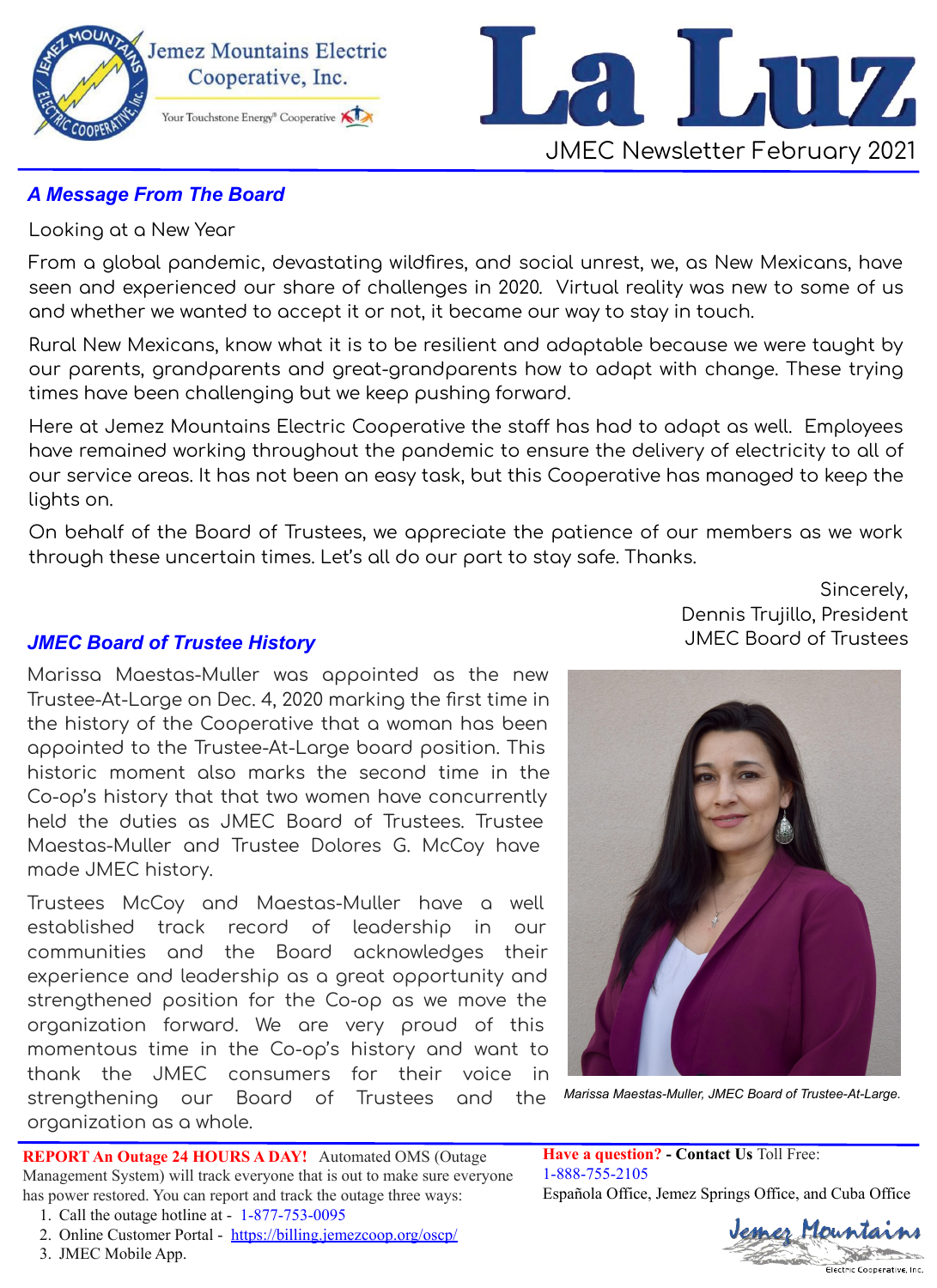



## **A Message From The Board**

### Looking at a New Year

From a global pandemic, devastating wildfires, and social unrest, we, as New Mexicans, have seen and experienced our share of challenges in 2020. Virtual reality was new to some of us and whether we wanted to accept it or not, it became our way to stay in touch.

Rural New Mexicans, know what it is to be resilient and adaptable because we were taught by our parents, grandparents and great-grandparents how to adapt with change. These trying times have been challenging but we keep pushing forward.

Here at Jemez Mountains Electric Cooperative the staff has had to adapt as well. Employees have remained working throughout the pandemic to ensure the delivery of electricity to all of our service areas. It has not been an easy task, but this Cooperative has managed to keep the lights on.

On behalf of the Board of Trustees, we appreciate the patience of our members as we work through these uncertain times. Let's all do our part to stay safe. Thanks.

**JMEC Board of Trustee History** 

Marissa Maestas-Muller was appointed as the new Trustee-At-Large on Dec. 4, 2020 marking the first time in the history of the Cooperative that a woman has been appointed to the Trustee-At-Large board position. This historic moment also marks the second time in the Co-op's history that that two women have concurrently held the duties as JMEC Board of Trustees. Trustee Maestas-Muller and Trustee Dolores G. McCoy have made JMEC history.

Trustees McCoy and Maestas-Muller have a well established track record of leadership in our communities and the Board acknowledges their experience and leadership as a great opportunity and strengthened position for the Co-op as we move the organization forward. We are very proud of this momentous time in the Co-op's history and want to thank the JMEC consumers for their voice in strengthening our Board of Trustees and the organization as a whole.

REPORT An Outage 24 HOURS A DAY! Automated OMS (Outage 1-888-755-2105

Management System) will track everyone that is out to make sure everyone has power restored. You can report and track the outage three ways:

- 1. Call the outage hotline at 1-877-753-0095
- 2. Online Customer Portal https://billing.jemezcoop.org/oscp/

3. JMEC Mobile App.

Sincerely, Dennis Trujillo, President **JMEC Board of Trustees** 



Marissa Maestas-Muller, JMEC Board of Trustee-At-Large.

**Have a question?** - Contact Us Toll Free: Española Office, Jemez Springs Office, and Cuba Office